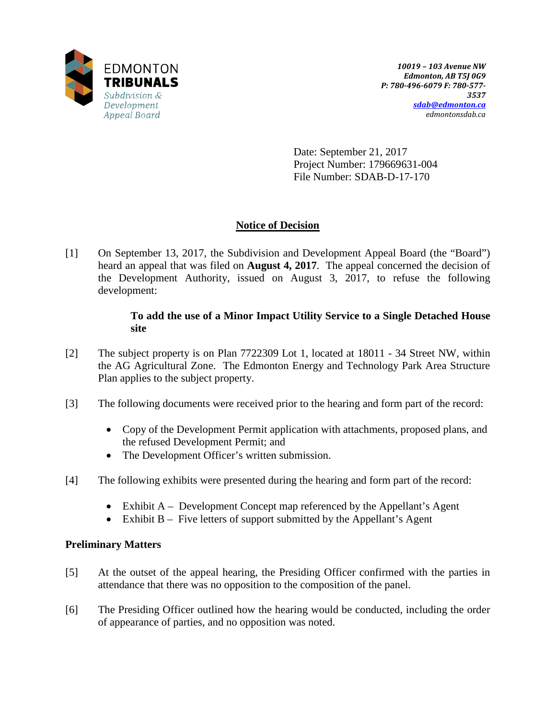

Date: September 21, 2017 Project Number: 179669631-004 File Number: SDAB-D-17-170

# **Notice of Decision**

[1] On September 13, 2017, the Subdivision and Development Appeal Board (the "Board") heard an appeal that was filed on **August 4, 2017**. The appeal concerned the decision of the Development Authority, issued on August 3, 2017, to refuse the following development:

## **To add the use of a Minor Impact Utility Service to a Single Detached House site**

- [2] The subject property is on Plan 7722309 Lot 1, located at 18011 34 Street NW, within the AG Agricultural Zone. The Edmonton Energy and Technology Park Area Structure Plan applies to the subject property.
- [3] The following documents were received prior to the hearing and form part of the record:
	- Copy of the Development Permit application with attachments, proposed plans, and the refused Development Permit; and
	- The Development Officer's written submission.
- [4] The following exhibits were presented during the hearing and form part of the record:
	- Exhibit A Development Concept map referenced by the Appellant's Agent
	- Exhibit B Five letters of support submitted by the Appellant's Agent

## **Preliminary Matters**

- [5] At the outset of the appeal hearing, the Presiding Officer confirmed with the parties in attendance that there was no opposition to the composition of the panel.
- [6] The Presiding Officer outlined how the hearing would be conducted, including the order of appearance of parties, and no opposition was noted.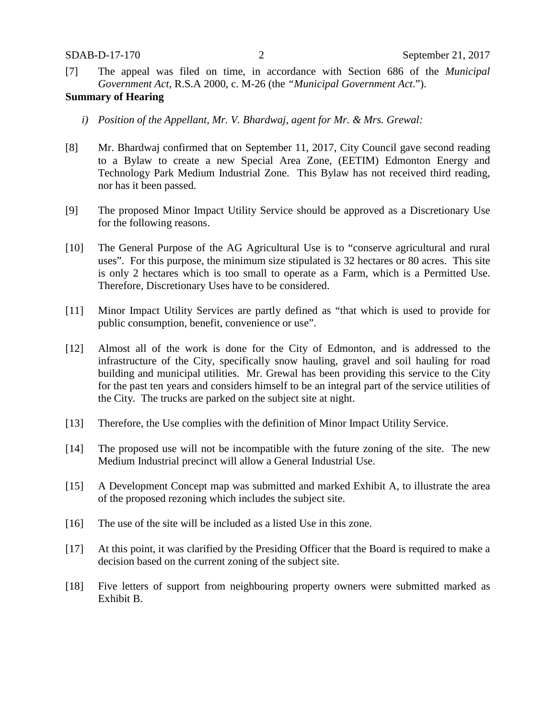[7] The appeal was filed on time, in accordance with Section 686 of the *Municipal Government Act*, R.S.A 2000, c. M-26 (the *"Municipal Government Act*.").

### **Summary of Hearing**

- *i) Position of the Appellant, Mr. V. Bhardwaj, agent for Mr. & Mrs. Grewal:*
- [8] Mr. Bhardwaj confirmed that on September 11, 2017, City Council gave second reading to a Bylaw to create a new Special Area Zone, (EETIM) Edmonton Energy and Technology Park Medium Industrial Zone. This Bylaw has not received third reading, nor has it been passed.
- [9] The proposed Minor Impact Utility Service should be approved as a Discretionary Use for the following reasons.
- [10] The General Purpose of the AG Agricultural Use is to "conserve agricultural and rural uses". For this purpose, the minimum size stipulated is 32 hectares or 80 acres. This site is only 2 hectares which is too small to operate as a Farm, which is a Permitted Use. Therefore, Discretionary Uses have to be considered.
- [11] Minor Impact Utility Services are partly defined as "that which is used to provide for public consumption, benefit, convenience or use".
- [12] Almost all of the work is done for the City of Edmonton, and is addressed to the infrastructure of the City, specifically snow hauling, gravel and soil hauling for road building and municipal utilities. Mr. Grewal has been providing this service to the City for the past ten years and considers himself to be an integral part of the service utilities of the City. The trucks are parked on the subject site at night.
- [13] Therefore, the Use complies with the definition of Minor Impact Utility Service.
- [14] The proposed use will not be incompatible with the future zoning of the site. The new Medium Industrial precinct will allow a General Industrial Use.
- [15] A Development Concept map was submitted and marked Exhibit A, to illustrate the area of the proposed rezoning which includes the subject site.
- [16] The use of the site will be included as a listed Use in this zone.
- [17] At this point, it was clarified by the Presiding Officer that the Board is required to make a decision based on the current zoning of the subject site.
- [18] Five letters of support from neighbouring property owners were submitted marked as Exhibit B.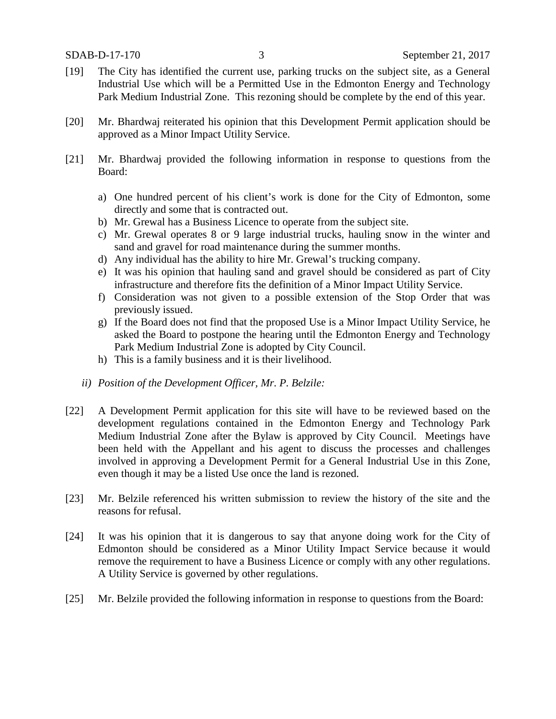- [19] The City has identified the current use, parking trucks on the subject site, as a General Industrial Use which will be a Permitted Use in the Edmonton Energy and Technology Park Medium Industrial Zone. This rezoning should be complete by the end of this year.
- [20] Mr. Bhardwaj reiterated his opinion that this Development Permit application should be approved as a Minor Impact Utility Service.
- [21] Mr. Bhardwaj provided the following information in response to questions from the Board:
	- a) One hundred percent of his client's work is done for the City of Edmonton, some directly and some that is contracted out.
	- b) Mr. Grewal has a Business Licence to operate from the subject site.
	- c) Mr. Grewal operates 8 or 9 large industrial trucks, hauling snow in the winter and sand and gravel for road maintenance during the summer months.
	- d) Any individual has the ability to hire Mr. Grewal's trucking company.
	- e) It was his opinion that hauling sand and gravel should be considered as part of City infrastructure and therefore fits the definition of a Minor Impact Utility Service.
	- f) Consideration was not given to a possible extension of the Stop Order that was previously issued.
	- g) If the Board does not find that the proposed Use is a Minor Impact Utility Service, he asked the Board to postpone the hearing until the Edmonton Energy and Technology Park Medium Industrial Zone is adopted by City Council.
	- h) This is a family business and it is their livelihood.
	- *ii) Position of the Development Officer, Mr. P. Belzile:*
- [22] A Development Permit application for this site will have to be reviewed based on the development regulations contained in the Edmonton Energy and Technology Park Medium Industrial Zone after the Bylaw is approved by City Council. Meetings have been held with the Appellant and his agent to discuss the processes and challenges involved in approving a Development Permit for a General Industrial Use in this Zone, even though it may be a listed Use once the land is rezoned.
- [23] Mr. Belzile referenced his written submission to review the history of the site and the reasons for refusal.
- [24] It was his opinion that it is dangerous to say that anyone doing work for the City of Edmonton should be considered as a Minor Utility Impact Service because it would remove the requirement to have a Business Licence or comply with any other regulations. A Utility Service is governed by other regulations.
- [25] Mr. Belzile provided the following information in response to questions from the Board: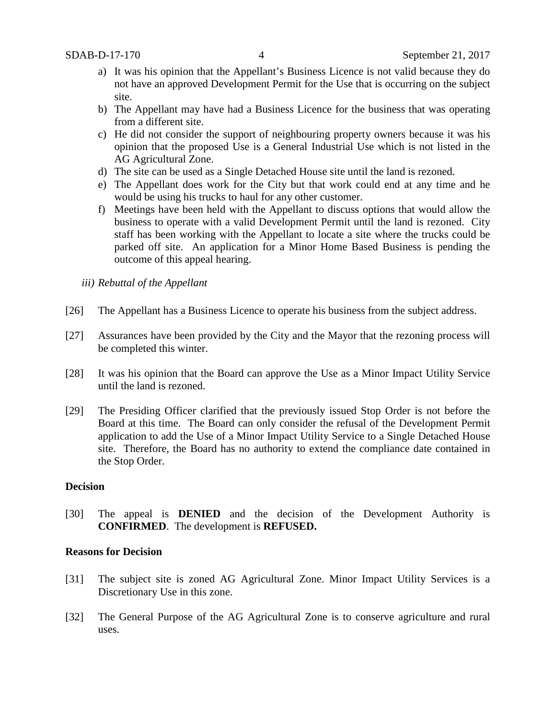- a) It was his opinion that the Appellant's Business Licence is not valid because they do not have an approved Development Permit for the Use that is occurring on the subject site.
- b) The Appellant may have had a Business Licence for the business that was operating from a different site.
- c) He did not consider the support of neighbouring property owners because it was his opinion that the proposed Use is a General Industrial Use which is not listed in the AG Agricultural Zone.
- d) The site can be used as a Single Detached House site until the land is rezoned.
- e) The Appellant does work for the City but that work could end at any time and he would be using his trucks to haul for any other customer.
- f) Meetings have been held with the Appellant to discuss options that would allow the business to operate with a valid Development Permit until the land is rezoned. City staff has been working with the Appellant to locate a site where the trucks could be parked off site. An application for a Minor Home Based Business is pending the outcome of this appeal hearing.
- *iii) Rebuttal of the Appellant*
- [26] The Appellant has a Business Licence to operate his business from the subject address.
- [27] Assurances have been provided by the City and the Mayor that the rezoning process will be completed this winter.
- [28] It was his opinion that the Board can approve the Use as a Minor Impact Utility Service until the land is rezoned.
- [29] The Presiding Officer clarified that the previously issued Stop Order is not before the Board at this time. The Board can only consider the refusal of the Development Permit application to add the Use of a Minor Impact Utility Service to a Single Detached House site. Therefore, the Board has no authority to extend the compliance date contained in the Stop Order.

#### **Decision**

[30] The appeal is **DENIED** and the decision of the Development Authority is **CONFIRMED**. The development is **REFUSED.**

#### **Reasons for Decision**

- [31] The subject site is zoned AG Agricultural Zone. Minor Impact Utility Services is a Discretionary Use in this zone.
- [32] The General Purpose of the AG Agricultural Zone is to conserve agriculture and rural uses.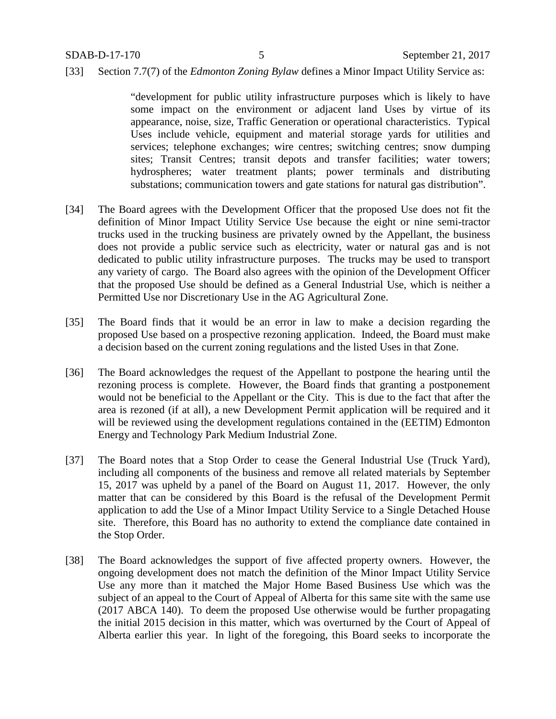[33] Section 7.7(7) of the *Edmonton Zoning Bylaw* defines a Minor Impact Utility Service as:

"development for public utility infrastructure purposes which is likely to have some impact on the environment or adjacent land Uses by virtue of its appearance, noise, size, Traffic Generation or operational characteristics. Typical Uses include vehicle, equipment and material storage yards for utilities and services; telephone exchanges; wire centres; switching centres; snow dumping sites; Transit Centres; transit depots and transfer facilities; water towers; hydrospheres; water treatment plants; power terminals and distributing substations; communication towers and gate stations for natural gas distribution".

- [34] The Board agrees with the Development Officer that the proposed Use does not fit the definition of Minor Impact Utility Service Use because the eight or nine semi-tractor trucks used in the trucking business are privately owned by the Appellant, the business does not provide a public service such as electricity, water or natural gas and is not dedicated to public utility infrastructure purposes. The trucks may be used to transport any variety of cargo. The Board also agrees with the opinion of the Development Officer that the proposed Use should be defined as a General Industrial Use, which is neither a Permitted Use nor Discretionary Use in the AG Agricultural Zone.
- [35] The Board finds that it would be an error in law to make a decision regarding the proposed Use based on a prospective rezoning application. Indeed, the Board must make a decision based on the current zoning regulations and the listed Uses in that Zone.
- [36] The Board acknowledges the request of the Appellant to postpone the hearing until the rezoning process is complete. However, the Board finds that granting a postponement would not be beneficial to the Appellant or the City. This is due to the fact that after the area is rezoned (if at all), a new Development Permit application will be required and it will be reviewed using the development regulations contained in the (EETIM) Edmonton Energy and Technology Park Medium Industrial Zone.
- [37] The Board notes that a Stop Order to cease the General Industrial Use (Truck Yard), including all components of the business and remove all related materials by September 15, 2017 was upheld by a panel of the Board on August 11, 2017. However, the only matter that can be considered by this Board is the refusal of the Development Permit application to add the Use of a Minor Impact Utility Service to a Single Detached House site. Therefore, this Board has no authority to extend the compliance date contained in the Stop Order.
- [38] The Board acknowledges the support of five affected property owners. However, the ongoing development does not match the definition of the Minor Impact Utility Service Use any more than it matched the Major Home Based Business Use which was the subject of an appeal to the Court of Appeal of Alberta for this same site with the same use (2017 ABCA 140). To deem the proposed Use otherwise would be further propagating the initial 2015 decision in this matter, which was overturned by the Court of Appeal of Alberta earlier this year. In light of the foregoing, this Board seeks to incorporate the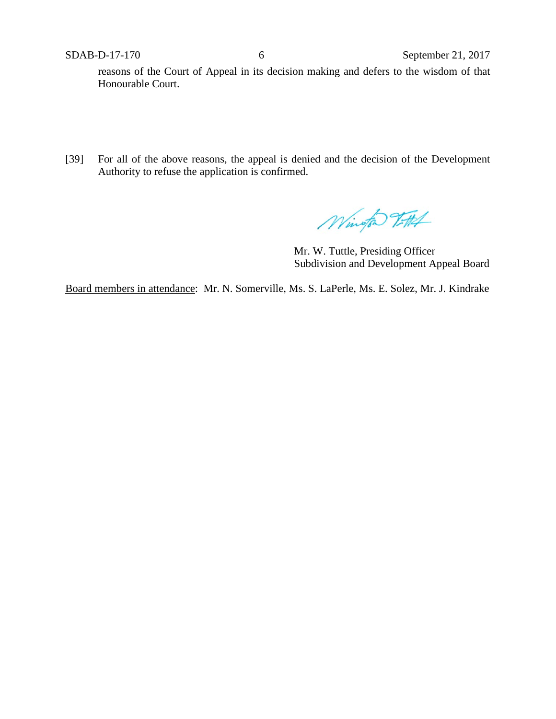reasons of the Court of Appeal in its decision making and defers to the wisdom of that Honourable Court.

[39] For all of the above reasons, the appeal is denied and the decision of the Development Authority to refuse the application is confirmed.

Wingto 2TH

Mr. W. Tuttle, Presiding Officer Subdivision and Development Appeal Board

Board members in attendance: Mr. N. Somerville, Ms. S. LaPerle, Ms. E. Solez, Mr. J. Kindrake